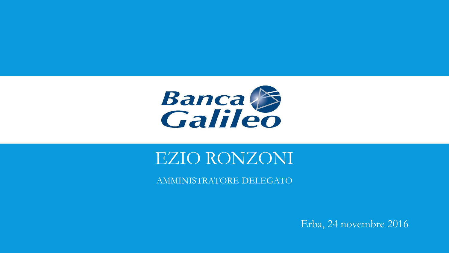

### EZIO RONZONI

AMMINISTRATORE DELEGATO

Erba, 24 novembre 2016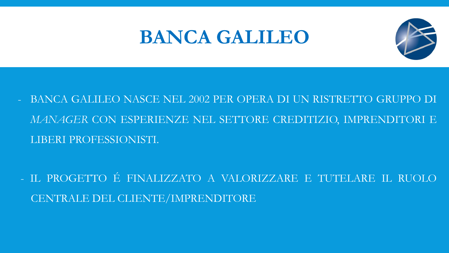# **BANCA GALILEO**



- BANCA GALILEO NASCE NEL 2002 PER OPERA DI UN RISTRETTO GRUPPO DI MANAGER CON ESPERIENZE NEL SETTORE CREDITIZIO, IMPRENDITORI E LIBERI PROFESSIONISTI.
- IL PROGETTO É FINALIZZATO A VALORIZZARE E TUTELARE IL RUOLO CENTRALE DEL CLIENTE/IMPRENDITORE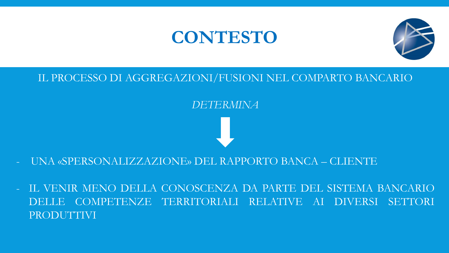### **CONTESTO**



#### IL PROCESSO DI AGGREGAZIONI/FUSIONI NEL COMPARTO BANCARIO

#### *DETERMINA*

#### - UNA «SPERSONALIZZAZIONE» DEL RAPPORTO BANCA – CLIENTE

- IL VENIR MENO DELLA CONOSCENZA DA PARTE DEL SISTEMA BANCARIO DELLE COMPETENZE TERRITORIALI RELATIVE AI DIVERSI SETTORI PRODUTTIVI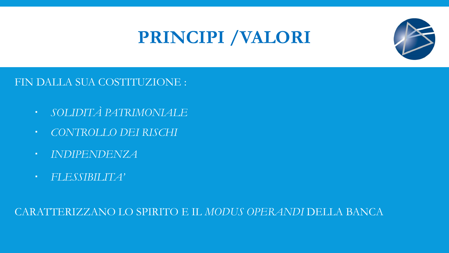# PRINCIPI /VALORI



FIN DALLA SUA COSTITUZIONE :

- SOLIDITÀ PATRIMONIALE
- CONTROLLO DEI RISCHI
- **INDIPENDENZA**
- FLESSIBILITA'

CARATTERIZZANO LO SPIRITO E IL MODUS OPERANDI DELLA BANCA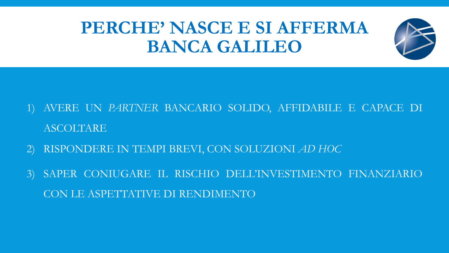# PERCHE' NASCE E SI AFFERMA **BANCA GALILEO**



- RISPONDERE IN TEMPI BREVI, CON SOLUZIONI AD HOC
- SAPER CONIUGARE IL RISCHIO DELL'INVESTIMENTO FINANZIARIO  $3)$ CON LE ASPETTATIVE DI RENDIMENTO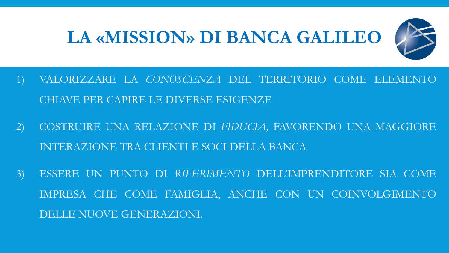# **LA «MISSION» DI BANCA GALILEO**



- 1) VALORIZZARE LA *CONOSCENZA* DEL TERRITORIO COME ELEMENTO CHIAVE PER CAPIRE LE DIVERSE ESIGENZE
- 2) COSTRUIRE UNA RELAZIONE DI *FIDUCIA,* FAVORENDO UNA MAGGIORE INTERAZIONE TRA CLIENTI E SOCI DELLA BANCA
- 3) ESSERE UN PUNTO DI *RIFERIMENTO* DELL'IMPRENDITORE SIA COME IMPRESA CHE COME FAMIGLIA, ANCHE CON UN COINVOLGIMENTO DELLE NUOVE GENERAZIONI.